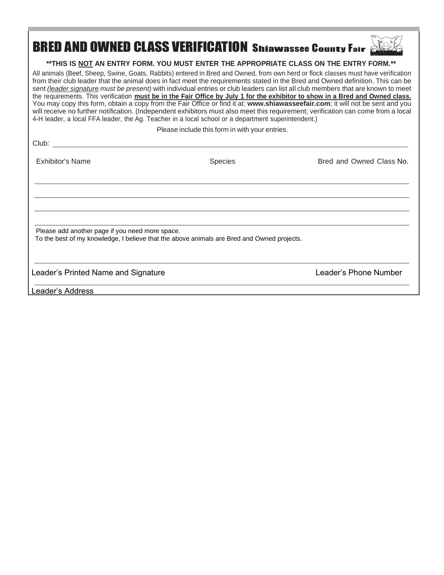## BRED AND OWNED CLASS VERIFICATION Shiawassee County Fair

## **\*\*THIS IS NOT AN ENTRY FORM. YOU MUST ENTER THE APPROPRIATE CLASS ON THE ENTRY FORM.\*\***

All animals (Beef, Sheep, Swine, Goats, Rabbits) entered in Bred and Owned, from own herd or flock classes must have verification from their club leader that the animal does in fact meet the requirements stated in the Bred and Owned definition. This can be sent *(leader signature must be present)* with individual entries or club leaders can list all club members that are known to meet the requirements. This verification must be in the Fair Office by July 1 for the exhibitor to show in a Bred and Owned class. You may copy this form, obtain a copy from the Fair Office or find it at: www.shiawasseefair.com; it will not be sent and you will receive no further notification. (Independent exhibitors must also meet this requirement; verification can come from a local 4-H leader, a local FFA leader, the Ag. Teacher in a local school or a department superintendent.)

Please include this form in with your entries.

 $\sim$ 

| <b>UIUD</b> :                                   |                                                                                            |                          |
|-------------------------------------------------|--------------------------------------------------------------------------------------------|--------------------------|
| <b>Exhibitor's Name</b>                         | <b>Species</b>                                                                             | Bred and Owned Class No. |
|                                                 |                                                                                            |                          |
|                                                 |                                                                                            |                          |
| Please add another page if you need more space. |                                                                                            |                          |
|                                                 | To the best of my knowledge, I believe that the above animals are Bred and Owned projects. |                          |
| Leader's Printed Name and Signature             |                                                                                            | Leader's Phone Number    |
| Leader's Address                                |                                                                                            |                          |